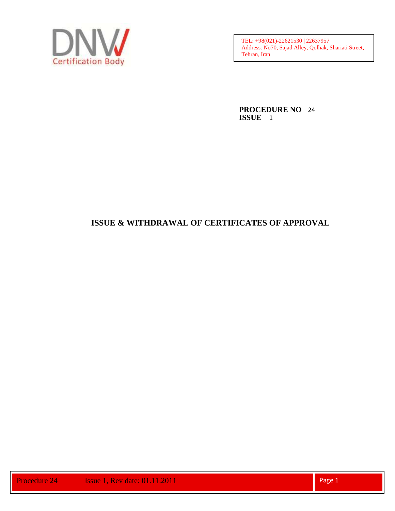

**PROCEDURE NO** 24 **ISSUE** 1

# **ISSUE & WITHDRAWAL OF CERTIFICATES OF APPROVAL**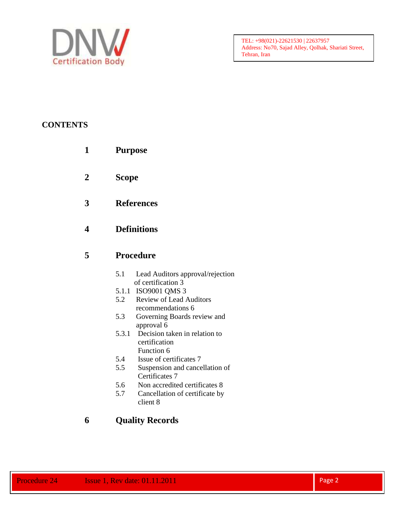

# **CONTENTS**

- **1 Purpose**
- **2 Scope**
- **3 References**

# **4 Definitions**

# **5 Procedure**

- 5.1 Lead Auditors approval/rejection of certification 3
- 5.1.1 ISO9001 QMS 3
- 5.2 Review of Lead Auditors recommendations 6
- 5.3 Governing Boards review and approval 6
- 5.3.1 Decision taken in relation to certification
	- Function 6
- 5.4 Issue of certificates 7
- 5.5 Suspension and cancellation of Certificates 7
- 5.6 Non accredited certificates 8
- 5.7 Cancellation of certificate by client 8

# **6 Quality Records**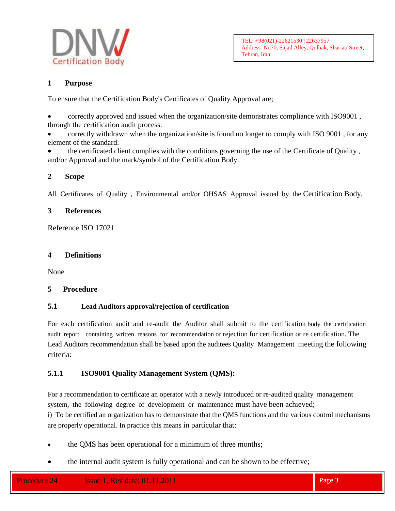

## **1 Purpose**

To ensure that the Certification Body's Certificates of Quality Approval are;

 correctly approved and issued when the organization/site demonstrates compliance with ISO9001 , through the certification audit process.

 correctly withdrawn when the organization/site is found no longer to comply with ISO 9001 , for any element of the standard.

 the certificated client complies with the conditions governing the use of the Certificate of Quality , and/or Approval and the mark/symbol of the Certification Body.

## **2 Scope**

All Certificates of Quality , Environmental and/or OHSAS Approval issued by the Certification Body.

### **3 References**

Reference ISO 17021

### **4 Definitions**

None

### **5 Procedure**

## **5.1 Lead Auditors approval/rejection of certification**

For each certification audit and re-audit the Auditor shall submit to the certification body the certification audit report containing written reasons for recommendation or rejection for certification or re certification. The Lead Auditors recommendation shall be based upon the auditees Quality Management meeting the following criteria:

## **5.1.1 ISO9001 Quality Management System (QMS):**

For a recommendation to certificate an operator with a newly introduced or re-audited quality management system, the following degree of development or maintenance must have been achieved;

i) To be certified an organization has to demonstrate that the QMS functions and the various control mechanisms are properly operational. In practice this means in particular that:

- the QMS has been operational for a minimum of three months;
- the internal audit system is fully operational and can be shown to be effective;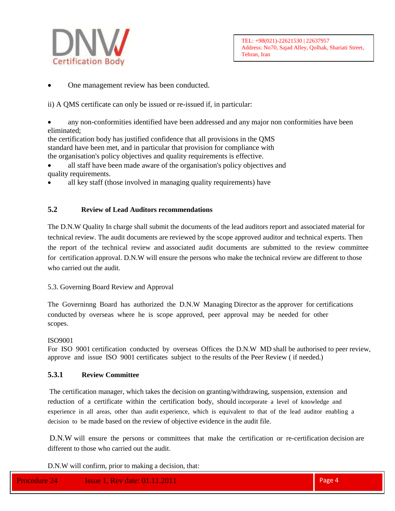

One management review has been conducted.

ii) A QMS certificate can only be issued or re-issued if, in particular:

 any non-conformities identified have been addressed and any major non conformities have been eliminated;

the certification body has justified confidence that all provisions in the QMS standard have been met, and in particular that provision for compliance with the organisation's policy objectives and quality requirements is effective.

- all staff have been made aware of the organisation's policy objectives and quality requirements.
- all key staff (those involved in managing quality requirements) have

### **5.2 Review of Lead Auditors recommendations**

The D.N.W Quality In charge shall submit the documents of the lead auditors report and associated material for technical review. The audit documents are reviewed by the scope approved auditor and technical experts. Then the report of the technical review and associated audit documents are submitted to the review committee for certification approval. D.N.W will ensure the persons who make the technical review are different to those who carried out the audit.

### 5.3. Governing Board Review and Approval

The Governinng Board has authorized the D.N.W Managing Director as the approver for certifications conducted by overseas where he is scope approved, peer approval may be needed for other scopes.

#### ISO9001

For ISO 9001 certification conducted by overseas Offices the D.N.W MD shall be authorised to peer review, approve and issue ISO 9001 certificates subject to the results of the Peer Review ( if needed.)

### **5.3.1 Review Committee**

The certification manager, which takes the decision on granting/withdrawing, suspension, extension and reduction of a certificate within the certification body, should incorporate a level of knowledge and experience in all areas, other than audit experience, which is equivalent to that of the lead auditor enabling a decision to be made based on the review of objective evidence in the audit file.

D.N.W will ensure the persons or committees that make the certification or re-certification decision are different to those who carried out the audit.

D.N.W will confirm, prior to making a decision, that: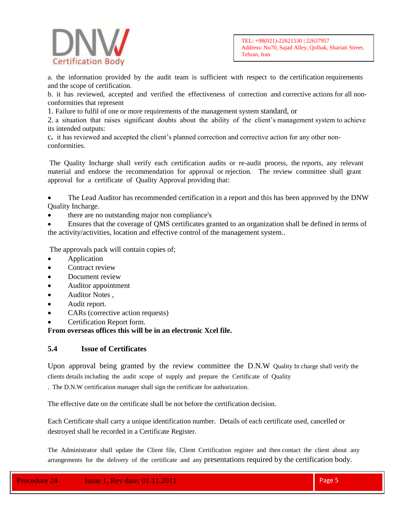

a. the information provided by the audit team is sufficient with respect to the certification requirements and the scope of certification.

b. it has reviewed, accepted and verified the effectiveness of correction and corrective actions for all nonconformities that represent

1. Failure to fulfil of one or more requirements of the management system standard, or

2. a situation that raises significant doubts about the ability of the client's management system to achieve its intended outputs:

c**.** it has reviewed and accepted the client's planned correction and corrective action for any other nonconformities.

The Quality Incharge shall verify each certification audits or re-audit process, the reports, any relevant material and endorse the recommendation for approval or rejection. The review committee shall grant approval for a certificate of Quality Approval providing that:

 The Lead Auditor has recommended certification in a report and this has been approved by the DNW Quality Incharge.

there are no outstanding major non compliance's

 Ensures that the coverage of QMS certificates granted to an organization shall be defined in terms of the activity/activities, location and effective control of the management system..

The approvals pack will contain copies of;

- Application
- Contract review
- Document review
- Auditor appointment
- Auditor Notes ,
- Audit report.
- CARs (corrective action requests)
- Certification Report form.

**From overseas offices this will be in an electronic Xcel file.**

### **5.4 Issue of Certificates**

Upon approval being granted by the review committee the D.N.W Quality In charge shall verify the clients details including the audit scope of supply and prepare the Certificate of Quality

. The D.N.W certification manager shall sign the certificate for authorization.

The effective date on the certificate shall be not before the certification decision.

Each Certificate shall carry a unique identification number. Details of each certificate used, cancelled or destroyed shall be recorded in a Certificate Register.

The Administrator shall update the Client file, Client Certification register and then contact the client about any arrangements for the delivery of the certificate and any presentations required by the certification body.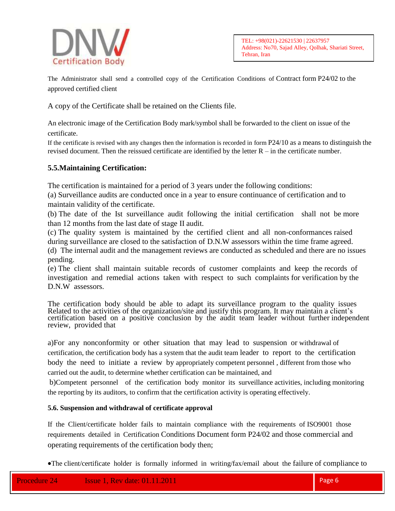

The Administrator shall send a controlled copy of the Certification Conditions of Contract form P24/02 to the approved certified client

A copy of the Certificate shall be retained on the Clients file.

An electronic image of the Certification Body mark/symbol shall be forwarded to the client on issue of the certificate.

If the certificate is revised with any changes then the information is recorded in form P24/10 as a means to distinguish the revised document. Then the reissued certificate are identified by the letter R – in the certificate number.

### **5.5.Maintaining Certification:**

The certification is maintained for a period of 3 years under the following conditions:

(a) Surveillance audits are conducted once in a year to ensure continuance of certification and to maintain validity of the certificate.

(b) The date of the Ist surveillance audit following the initial certification shall not be more than 12 months from the last date of stage II audit.

(c) The quality system is maintained by the certified client and all non-conformances raised during surveillance are closed to the satisfaction of D.N.W assessors within the time frame agreed.

(d) The internal audit and the management reviews are conducted as scheduled and there are no issues pending.

(e) The client shall maintain suitable records of customer complaints and keep the records of investigation and remedial actions taken with respect to such complaints for verification by the D.N.W assessors.

The certification body should be able to adapt its surveillance program to the quality issues Related to the activities of the organization/site and justify this program. It may maintain a client's certification based on a positive conclusion by the audit team leader without further independent review, provided that

a)For any nonconformity or other situation that may lead to suspension or withdrawal of certification, the certification body has a system that the audit team leader to report to the certification body the need to initiate a review by appropriately competent personnel , different from those who carried out the audit, to determine whether certification can be maintained, and

b)Competent personnel of the certification body monitor its surveillance activities, including monitoring the reporting by its auditors, to confirm that the certification activity is operating effectively.

### **5.6. Suspension and withdrawal of certificate approval**

If the Client/certificate holder fails to maintain compliance with the requirements of ISO9001 those requirements detailed in Certification Conditions Document form P24/02 and those commercial and operating requirements of the certification body then;

The client/certificate holder is formally informed in writing/fax/email about the failure of compliance to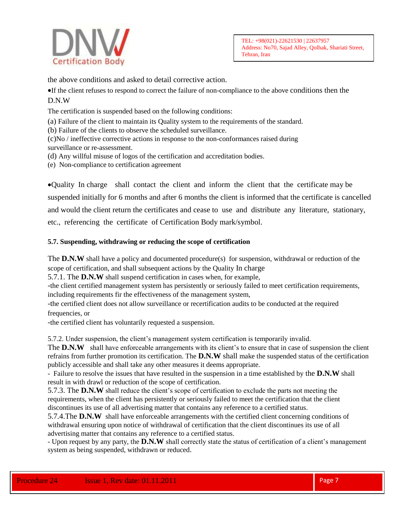

the above conditions and asked to detail corrective action.

If the client refuses to respond to correct the failure of non-compliance to the above conditions then the D.N.W

The certification is suspended based on the following conditions:

(a) Failure of the client to maintain its Quality system to the requirements of the standard.

(b) Failure of the clients to observe the scheduled surveillance.

(c)No / ineffective corrective actions in response to the non-conformances raised during

surveillance or re-assessment.

(d) Any willful misuse of logos of the certification and accreditation bodies.

(e) Non-compliance to certification agreement

Quality In charge shall contact the client and inform the client that the certificate may be suspended initially for 6 months and after 6 months the client is informed that the certificate is cancelled and would the client return the certificates and cease to use and distribute any literature, stationary, etc., referencing the certificate of Certification Body mark/symbol.

### **5.7. Suspending, withdrawing or reducing the scope of certification**

The **D.N.W** shall have a policy and documented procedure(s) for suspension, withdrawal or reduction of the scope of certification, and shall subsequent actions by the Quality In charge

5.7.1. The **D.N.W** shall suspend certification in cases when, for example,

-the client certified management system has persistently or seriously failed to meet certification requirements, including requirements fir the effectiveness of the management system,

-the certified client does not allow surveillance or recertification audits to be conducted at the required frequencies, or

-the certified client has voluntarily requested a suspension.

5.7.2. Under suspension, the client's management system certification is temporarily invalid.

The **D.N.W** shall have enforceable arrangements with its client's to ensure that in case of suspension the client refrains from further promotion its certification. The **D.N.W** shall make the suspended status of the certification publicly accessible and shall take any other measures it deems appropriate.

- Failure to resolve the issues that have resulted in the suspension in a time established by the **D.N.W** shall result in with drawl or reduction of the scope of certification.

5.7.3. The **D.N.W** shall reduce the client's scope of certification to exclude the parts not meeting the requirements, when the client has persistently or seriously failed to meet the certification that the client discontinues its use of all advertising matter that contains any reference to a certified status.

5.7.4.The **D.N.W** shall have enforceable arrangements with the certified client concerning conditions of withdrawal ensuring upon notice of withdrawal of certification that the client discontinues its use of all advertising matter that contains any reference to a certified status.

- Upon request by any party, the **D.N.W** shall correctly state the status of certification of a client's management system as being suspended, withdrawn or reduced.